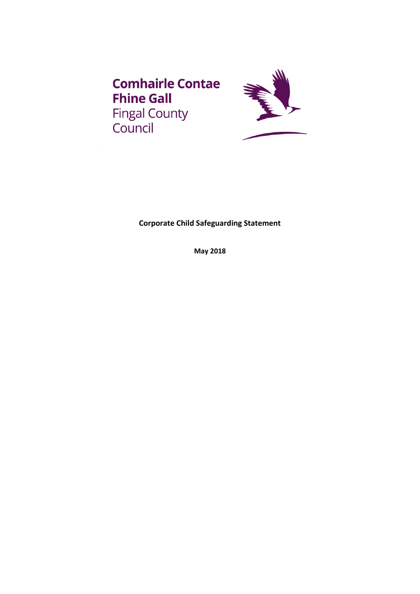



**Corporate Child Safeguarding Statement**

**May 2018**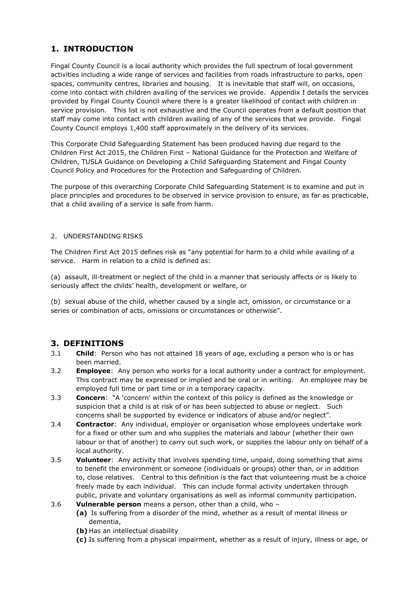# **1. INTRODUCTION**

Fingal County Council is a local authority which provides the full spectrum of local government activities including a wide range of services and facilities from roads infrastructure to parks, open spaces, community centres, libraries and housing. It is inevitable that staff will, on occasions, come into contact with children availing of the services we provide. Appendix I details the services provided by Fingal County Council where there is a greater likelihood of contact with children in service provision. This list is not exhaustive and the Council operates from a default position that staff may come into contact with children availing of any of the services that we provide. Fingal County Council employs 1,400 staff approximately in the delivery of its services.

This Corporate Child Safeguarding Statement has been produced having due regard to the Children First Act 2015, the Children First – National Guidance for the Protection and Welfare of Children, TUSLA Guidance on Developing a Child Safeguarding Statement and Fingal County Council Policy and Procedures for the Protection and Safeguarding of Children.

The purpose of this overarching Corporate Child Safeguarding Statement is to examine and put in place principles and procedures to be observed in service provision to ensure, as far as practicable, that a child availing of a service is safe from harm.

#### 2. UNDERSTANDING RISKS

The Children First Act 2015 defines risk as "any potential for harm to a child while availing of a service. Harm in relation to a child is defined as:

(a) assault, ill-treatment or neglect of the child in a manner that seriously affects or is likely to seriously affect the childs' health, development or welfare, or

(b) sexual abuse of the child, whether caused by a single act, omission, or circumstance or a series or combination of acts, omissions or circumstances or otherwise".

### **3. DEFINITIONS**

- 3.1 **Child**: Person who has not attained 18 years of age, excluding a person who is or has been married.
- 3.2 **Employee**: Any person who works for a local authority under a contract for employment. This contract may be expressed or implied and be oral or in writing. An employee may be employed full time or part time or in a temporary capacity.
- 3.3 **Concern**: "A 'concern' within the context of this policy is defined as the knowledge or suspicion that a child is at risk of or has been subjected to abuse or neglect. Such concerns shall be supported by evidence or indicators of abuse and/or neglect".
- 3.4 **Contractor**: Any individual, employer or organisation whose employees undertake work for a fixed or other sum and who supplies the materials and labour (whether their own labour or that of another) to carry out such work, or supplies the labour only on behalf of a local authority.
- 3.5 **Volunteer**: Any activity that involves spending time, unpaid, doing something that aims to benefit the environment or someone (individuals or groups) other than, or in addition to, close relatives. Central to this definition is the fact that volunteering must be a choice freely made by each individual. This can include formal activity undertaken through public, private and voluntary organisations as well as informal community participation.
- 3.6 **Vulnerable person** means a person, other than a child, who
	- **(a)** Is suffering from a disorder of the mind, whether as a result of mental illness or dementia,
	- **(b)** Has an intellectual disability
	- **(c)** Is suffering from a physical impairment, whether as a result of injury, illness or age, or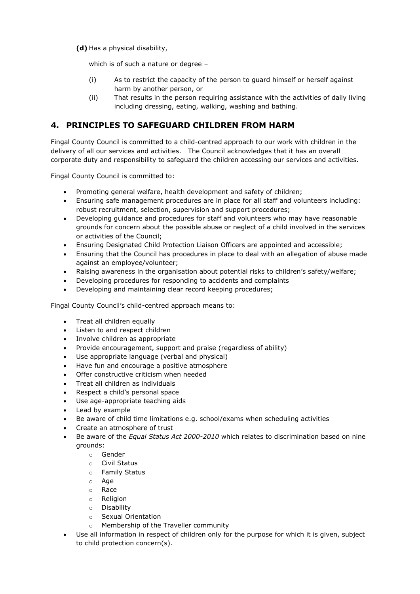**(d)** Has a physical disability,

which is of such a nature or degree -

- (i) As to restrict the capacity of the person to guard himself or herself against harm by another person, or
- (ii) That results in the person requiring assistance with the activities of daily living including dressing, eating, walking, washing and bathing.

# **4. PRINCIPLES TO SAFEGUARD CHILDREN FROM HARM**

Fingal County Council is committed to a child-centred approach to our work with children in the delivery of all our services and activities. The Council acknowledges that it has an overall corporate duty and responsibility to safeguard the children accessing our services and activities.

Fingal County Council is committed to:

- Promoting general welfare, health development and safety of children;
- Ensuring safe management procedures are in place for all staff and volunteers including: robust recruitment, selection, supervision and support procedures;
- Developing guidance and procedures for staff and volunteers who may have reasonable grounds for concern about the possible abuse or neglect of a child involved in the services or activities of the Council;
- Ensuring Designated Child Protection Liaison Officers are appointed and accessible;
- Ensuring that the Council has procedures in place to deal with an allegation of abuse made against an employee/volunteer;
- Raising awareness in the organisation about potential risks to children's safety/welfare;
- Developing procedures for responding to accidents and complaints
- Developing and maintaining clear record keeping procedures;

Fingal County Council's child-centred approach means to:

- Treat all children equally
- Listen to and respect children
- Involve children as appropriate
- Provide encouragement, support and praise (regardless of ability)
- Use appropriate language (verbal and physical)
- Have fun and encourage a positive atmosphere
- Offer constructive criticism when needed
- Treat all children as individuals
- Respect a child's personal space
- Use age-appropriate teaching aids
- Lead by example
- Be aware of child time limitations e.g. school/exams when scheduling activities
- Create an atmosphere of trust
- Be aware of the *Equal Status Act 2000-2010* which relates to discrimination based on nine grounds:
	- o Gender
	- o Civil Status
	- o Family Status
	- o Age
	- o Race
	- o Religion
	- o Disability
	- o Sexual Orientation
	- o Membership of the Traveller community
- Use all information in respect of children only for the purpose for which it is given, subject to child protection concern(s).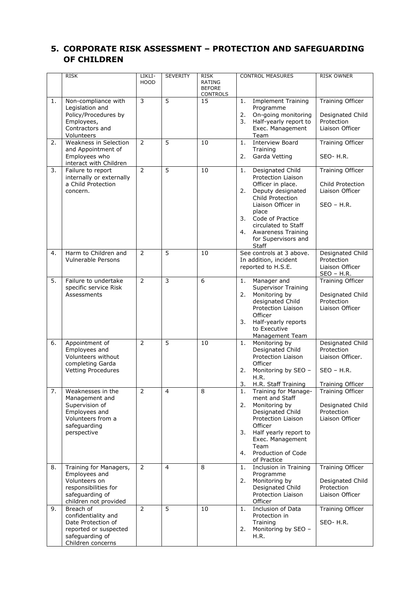# **5. CORPORATE RISK ASSESSMENT – PROTECTION AND SAFEGUARDING OF CHILDREN**

|    | <b>RISK</b>                                                                                                                  | LIKLI-         | <b>SEVERITY</b> | <b>RISK</b>                                | <b>CONTROL MEASURES</b>                                                                                                                                                                                                                                                    | <b>RISK OWNER</b>                                                                             |
|----|------------------------------------------------------------------------------------------------------------------------------|----------------|-----------------|--------------------------------------------|----------------------------------------------------------------------------------------------------------------------------------------------------------------------------------------------------------------------------------------------------------------------------|-----------------------------------------------------------------------------------------------|
|    |                                                                                                                              | <b>HOOD</b>    |                 | RATING<br><b>BEFORE</b><br><b>CONTROLS</b> |                                                                                                                                                                                                                                                                            |                                                                                               |
| 1. | Non-compliance with<br>Legislation and<br>Policy/Procedures by<br>Employees,<br>Contractors and<br>Volunteers                | 3              | $\overline{5}$  | 15                                         | <b>Implement Training</b><br>1.<br>Programme<br>On-going monitoring<br>2.<br>Half-yearly report to<br>3.<br>Exec. Management<br>Team                                                                                                                                       | <b>Training Officer</b><br>Designated Child<br>Protection<br>Liaison Officer                  |
| 2. | Weakness in Selection<br>and Appointment of<br>Employees who<br>interact with Children                                       | 2              | $\overline{5}$  | 10                                         | <b>Interview Board</b><br>1.<br>Training<br>Garda Vetting<br>2.                                                                                                                                                                                                            | Training Officer<br>SEO-H.R.                                                                  |
| 3. | Failure to report<br>internally or externally<br>a Child Protection<br>concern.                                              | $\overline{2}$ | 5               | 10                                         | Designated Child<br>1.<br><b>Protection Liaison</b><br>Officer in place.<br>2.<br>Deputy designated<br>Child Protection<br>Liaison Officer in<br>place<br>Code of Practice<br>3.<br>circulated to Staff<br>Awareness Training<br>4.<br>for Supervisors and<br><b>Staff</b> | Training Officer<br>Child Protection<br>Liaison Officer<br>$SEO - H.R.$                       |
| 4. | Harm to Children and<br>Vulnerable Persons                                                                                   | $\overline{2}$ | $\overline{5}$  | 10                                         | See controls at 3 above.<br>In addition, incident<br>reported to H.S.E.                                                                                                                                                                                                    | Designated Child<br>Protection<br>Liaison Officer<br><u>SEO - H.R.</u>                        |
| 5. | Failure to undertake<br>specific service Risk<br>Assessments                                                                 | 2              | 3               | 6                                          | Manager and<br>1.<br><b>Supervisor Training</b><br>Monitoring by<br>2.<br>designated Child<br><b>Protection Liaison</b><br>Officer<br>3.<br>Half-yearly reports<br>to Executive<br>Management Team                                                                         | Training Officer<br>Designated Child<br>Protection<br>Liaison Officer                         |
| 6. | Appointment of<br>Employees and<br>Volunteers without<br>completing Garda<br><b>Vetting Procedures</b>                       | 2              | 5               | 10                                         | Monitoring by<br>1.<br>Designated Child<br>Protection Liaison<br>Officer<br>Monitoring by SEO -<br>2.<br>H.R.<br>3.<br>H.R. Staff Training                                                                                                                                 | Designated Child<br>Protection<br>Liaison Officer.<br>$SEO - H.R.$<br><b>Training Officer</b> |
| 7. | Weaknesses in the<br>Management and<br>Supervision of<br>Employees and<br>Volunteers from a<br>safeguarding<br>perspective   | 2              | $\overline{4}$  | 8                                          | Training for Manage-<br>1.<br>ment and Staff<br>2.<br>Monitoring by<br>Designated Child<br><b>Protection Liaison</b><br>Officer<br>3.<br>Half yearly report to<br>Exec. Management<br>Team<br>Production of Code<br>4.<br>of Practice                                      | Training Officer<br>Designated Child<br>Protection<br>Liaison Officer                         |
| 8. | Training for Managers,<br>Employees and<br>Volunteers on<br>responsibilities for<br>safeguarding of<br>children not provided | $\overline{2}$ | 4               | 8                                          | Inclusion in Training<br>1.<br>Programme<br>Monitoring by<br>2.<br>Designated Child<br>Protection Liaison<br>Officer                                                                                                                                                       | <b>Training Officer</b><br>Designated Child<br>Protection<br>Liaison Officer                  |
| 9. | Breach of<br>confidentiality and<br>Date Protection of<br>reported or suspected<br>safeguarding of<br>Children concerns      | $\overline{2}$ | 5               | 10                                         | Inclusion of Data<br>1.<br>Protection in<br>Training<br>Monitoring by SEO -<br>2.<br>H.R.                                                                                                                                                                                  | Training Officer<br>SEO-H.R.                                                                  |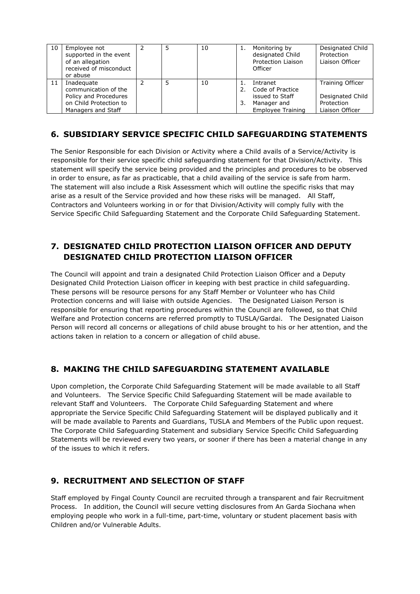| 10 | Employee not<br>supported in the event<br>of an allegation<br>received of misconduct<br>or abuse |  | 10 | Monitoring by<br>designated Child<br>Protection Liaison<br>Officer | Designated Child<br>Protection<br>Liaison Officer |
|----|--------------------------------------------------------------------------------------------------|--|----|--------------------------------------------------------------------|---------------------------------------------------|
| 11 | Inadequate<br>communication of the<br>Policy and Procedures                                      |  | 10 | Intranet<br>Code of Practice<br>issued to Staff                    | <b>Training Officer</b><br>Designated Child       |
|    | on Child Protection to<br>Managers and Staff                                                     |  |    | Manager and<br><b>Employee Training</b>                            | Protection<br>Liaison Officer                     |

# **6. SUBSIDIARY SERVICE SPECIFIC CHILD SAFEGUARDING STATEMENTS**

The Senior Responsible for each Division or Activity where a Child avails of a Service/Activity is responsible for their service specific child safeguarding statement for that Division/Activity. This statement will specify the service being provided and the principles and procedures to be observed in order to ensure, as far as practicable, that a child availing of the service is safe from harm. The statement will also include a Risk Assessment which will outline the specific risks that may arise as a result of the Service provided and how these risks will be managed. All Staff, Contractors and Volunteers working in or for that Division/Activity will comply fully with the Service Specific Child Safeguarding Statement and the Corporate Child Safeguarding Statement.

# **7. DESIGNATED CHILD PROTECTION LIAISON OFFICER AND DEPUTY DESIGNATED CHILD PROTECTION LIAISON OFFICER**

The Council will appoint and train a designated Child Protection Liaison Officer and a Deputy Designated Child Protection Liaison officer in keeping with best practice in child safeguarding. These persons will be resource persons for any Staff Member or Volunteer who has Child Protection concerns and will liaise with outside Agencies. The Designated Liaison Person is responsible for ensuring that reporting procedures within the Council are followed, so that Child Welfare and Protection concerns are referred promptly to TUSLA/Gardai. The Designated Liaison Person will record all concerns or allegations of child abuse brought to his or her attention, and the actions taken in relation to a concern or allegation of child abuse.

# **8. MAKING THE CHILD SAFEGUARDING STATEMENT AVAILABLE**

Upon completion, the Corporate Child Safeguarding Statement will be made available to all Staff and Volunteers. The Service Specific Child Safeguarding Statement will be made available to relevant Staff and Volunteers. The Corporate Child Safeguarding Statement and where appropriate the Service Specific Child Safeguarding Statement will be displayed publically and it will be made available to Parents and Guardians, TUSLA and Members of the Public upon request. The Corporate Child Safeguarding Statement and subsidiary Service Specific Child Safeguarding Statements will be reviewed every two years, or sooner if there has been a material change in any of the issues to which it refers.

# **9. RECRUITMENT AND SELECTION OF STAFF**

Staff employed by Fingal County Council are recruited through a transparent and fair Recruitment Process. In addition, the Council will secure vetting disclosures from An Garda Siochana when employing people who work in a full-time, part-time, voluntary or student placement basis with Children and/or Vulnerable Adults.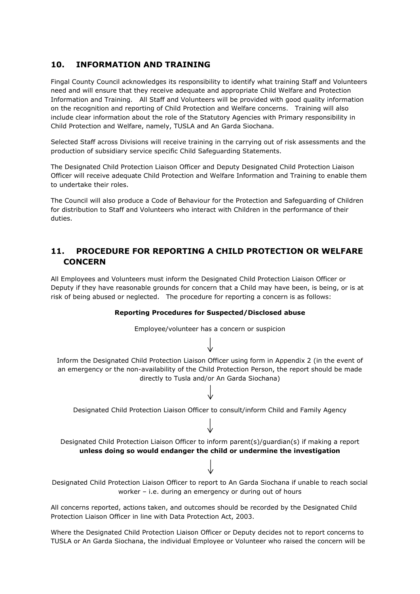### **10. INFORMATION AND TRAINING**

Fingal County Council acknowledges its responsibility to identify what training Staff and Volunteers need and will ensure that they receive adequate and appropriate Child Welfare and Protection Information and Training. All Staff and Volunteers will be provided with good quality information on the recognition and reporting of Child Protection and Welfare concerns. Training will also include clear information about the role of the Statutory Agencies with Primary responsibility in Child Protection and Welfare, namely, TUSLA and An Garda Siochana.

Selected Staff across Divisions will receive training in the carrying out of risk assessments and the production of subsidiary service specific Child Safeguarding Statements.

The Designated Child Protection Liaison Officer and Deputy Designated Child Protection Liaison Officer will receive adequate Child Protection and Welfare Information and Training to enable them to undertake their roles.

The Council will also produce a Code of Behaviour for the Protection and Safeguarding of Children for distribution to Staff and Volunteers who interact with Children in the performance of their duties.

### **11. PROCEDURE FOR REPORTING A CHILD PROTECTION OR WELFARE CONCERN**

All Employees and Volunteers must inform the Designated Child Protection Liaison Officer or Deputy if they have reasonable grounds for concern that a Child may have been, is being, or is at risk of being abused or neglected. The procedure for reporting a concern is as follows:

### **Reporting Procedures for Suspected/Disclosed abuse**



Where the Designated Child Protection Liaison Officer or Deputy decides not to report concerns to TUSLA or An Garda Siochana, the individual Employee or Volunteer who raised the concern will be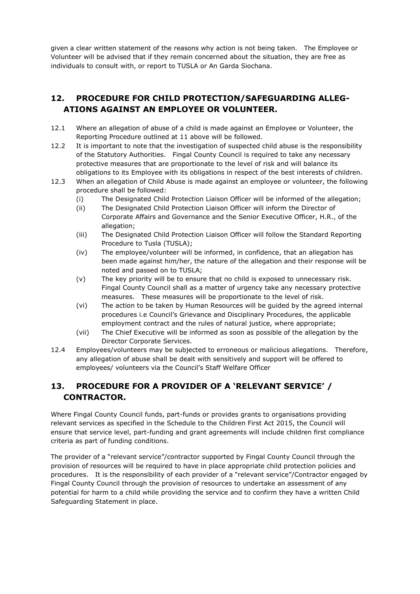given a clear written statement of the reasons why action is not being taken. The Employee or Volunteer will be advised that if they remain concerned about the situation, they are free as individuals to consult with, or report to TUSLA or An Garda Siochana.

### **12. PROCEDURE FOR CHILD PROTECTION/SAFEGUARDING ALLEG-ATIONS AGAINST AN EMPLOYEE OR VOLUNTEER.**

- 12.1 Where an allegation of abuse of a child is made against an Employee or Volunteer, the Reporting Procedure outlined at 11 above will be followed.
- 12.2 It is important to note that the investigation of suspected child abuse is the responsibility of the Statutory Authorities. Fingal County Council is required to take any necessary protective measures that are proportionate to the level of risk and will balance its obligations to its Employee with its obligations in respect of the best interests of children.
- 12.3 When an allegation of Child Abuse is made against an employee or volunteer, the following procedure shall be followed:
	- (i) The Designated Child Protection Liaison Officer will be informed of the allegation;
	- (ii) The Designated Child Protection Liaison Officer will inform the Director of Corporate Affairs and Governance and the Senior Executive Officer, H.R., of the allegation;
	- (iii) The Designated Child Protection Liaison Officer will follow the Standard Reporting Procedure to Tusla (TUSLA);
	- (iv) The employee/volunteer will be informed, in confidence, that an allegation has been made against him/her, the nature of the allegation and their response will be noted and passed on to TUSLA;
	- (v) The key priority will be to ensure that no child is exposed to unnecessary risk. Fingal County Council shall as a matter of urgency take any necessary protective measures. These measures will be proportionate to the level of risk.
	- (vi) The action to be taken by Human Resources will be guided by the agreed internal procedures i.e Council's Grievance and Disciplinary Procedures, the applicable employment contract and the rules of natural justice, where appropriate;
	- (vii) The Chief Executive will be informed as soon as possible of the allegation by the Director Corporate Services.
- 12.4 Employees/volunteers may be subjected to erroneous or malicious allegations. Therefore, any allegation of abuse shall be dealt with sensitively and support will be offered to employees/ volunteers via the Council's Staff Welfare Officer

# **13. PROCEDURE FOR A PROVIDER OF A 'RELEVANT SERVICE' / CONTRACTOR.**

Where Fingal County Council funds, part-funds or provides grants to organisations providing relevant services as specified in the Schedule to the Children First Act 2015, the Council will ensure that service level, part-funding and grant agreements will include children first compliance criteria as part of funding conditions.

The provider of a "relevant service"/contractor supported by Fingal County Council through the provision of resources will be required to have in place appropriate child protection policies and procedures. It is the responsibility of each provider of a "relevant service"/Contractor engaged by Fingal County Council through the provision of resources to undertake an assessment of any potential for harm to a child while providing the service and to confirm they have a written Child Safeguarding Statement in place.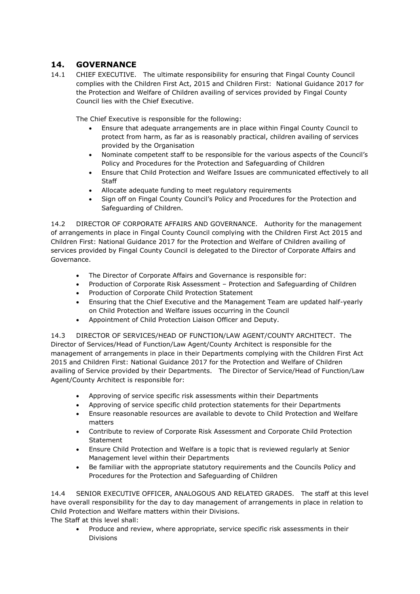### **14. GOVERNANCE**

14.1 CHIEF EXECUTIVE. The ultimate responsibility for ensuring that Fingal County Council complies with the Children First Act, 2015 and Children First: National Guidance 2017 for the Protection and Welfare of Children availing of services provided by Fingal County Council lies with the Chief Executive.

The Chief Executive is responsible for the following:

- Ensure that adequate arrangements are in place within Fingal County Council to protect from harm, as far as is reasonably practical, children availing of services provided by the Organisation
- Nominate competent staff to be responsible for the various aspects of the Council's Policy and Procedures for the Protection and Safeguarding of Children
- Ensure that Child Protection and Welfare Issues are communicated effectively to all Staff
- Allocate adequate funding to meet regulatory requirements
- Sign off on Fingal County Council's Policy and Procedures for the Protection and Safeguarding of Children.

14.2 DIRECTOR OF CORPORATE AFFAIRS AND GOVERNANCE. Authority for the management of arrangements in place in Fingal County Council complying with the Children First Act 2015 and Children First: National Guidance 2017 for the Protection and Welfare of Children availing of services provided by Fingal County Council is delegated to the Director of Corporate Affairs and Governance.

- The Director of Corporate Affairs and Governance is responsible for:
- Production of Corporate Risk Assessment Protection and Safeguarding of Children
- Production of Corporate Child Protection Statement
- Ensuring that the Chief Executive and the Management Team are updated half-yearly on Child Protection and Welfare issues occurring in the Council
- Appointment of Child Protection Liaison Officer and Deputy.

14.3 DIRECTOR OF SERVICES/HEAD OF FUNCTION/LAW AGENT/COUNTY ARCHITECT. The Director of Services/Head of Function/Law Agent/County Architect is responsible for the management of arrangements in place in their Departments complying with the Children First Act 2015 and Children First: National Guidance 2017 for the Protection and Welfare of Children availing of Service provided by their Departments. The Director of Service/Head of Function/Law Agent/County Architect is responsible for:

- Approving of service specific risk assessments within their Departments
- Approving of service specific child protection statements for their Departments
- Ensure reasonable resources are available to devote to Child Protection and Welfare matters
- Contribute to review of Corporate Risk Assessment and Corporate Child Protection **Statement**
- Ensure Child Protection and Welfare is a topic that is reviewed regularly at Senior Management level within their Departments
- Be familiar with the appropriate statutory requirements and the Councils Policy and Procedures for the Protection and Safeguarding of Children

14.4 SENIOR EXECUTIVE OFFICER, ANALOGOUS AND RELATED GRADES. The staff at this level have overall responsibility for the day to day management of arrangements in place in relation to Child Protection and Welfare matters within their Divisions. The Staff at this level shall:

 Produce and review, where appropriate, service specific risk assessments in their Divisions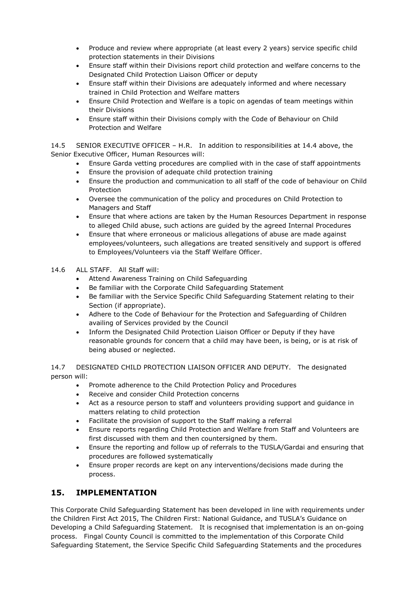- Produce and review where appropriate (at least every 2 years) service specific child protection statements in their Divisions
- Ensure staff within their Divisions report child protection and welfare concerns to the Designated Child Protection Liaison Officer or deputy
- Ensure staff within their Divisions are adequately informed and where necessary trained in Child Protection and Welfare matters
- Ensure Child Protection and Welfare is a topic on agendas of team meetings within their Divisions
- Ensure staff within their Divisions comply with the Code of Behaviour on Child Protection and Welfare

14.5 SENIOR EXECUTIVE OFFICER – H.R. In addition to responsibilities at 14.4 above, the Senior Executive Officer, Human Resources will:

- Ensure Garda vetting procedures are complied with in the case of staff appointments
- Ensure the provision of adequate child protection training
- Ensure the production and communication to all staff of the code of behaviour on Child Protection
- Oversee the communication of the policy and procedures on Child Protection to Managers and Staff
- Ensure that where actions are taken by the Human Resources Department in response to alleged Child abuse, such actions are guided by the agreed Internal Procedures
- Ensure that where erroneous or malicious allegations of abuse are made against employees/volunteers, such allegations are treated sensitively and support is offered to Employees/Volunteers via the Staff Welfare Officer.
- 14.6 ALL STAFF. All Staff will:
	- Attend Awareness Training on Child Safeguarding
	- Be familiar with the Corporate Child Safeguarding Statement
	- Be familiar with the Service Specific Child Safeguarding Statement relating to their Section (if appropriate).
	- Adhere to the Code of Behaviour for the Protection and Safeguarding of Children availing of Services provided by the Council
	- Inform the Designated Child Protection Liaison Officer or Deputy if they have reasonable grounds for concern that a child may have been, is being, or is at risk of being abused or neglected.

14.7 DESIGNATED CHILD PROTECTION LIAISON OFFICER AND DEPUTY. The designated person will:

- Promote adherence to the Child Protection Policy and Procedures
- Receive and consider Child Protection concerns
- Act as a resource person to staff and volunteers providing support and guidance in matters relating to child protection
- Facilitate the provision of support to the Staff making a referral
- Ensure reports regarding Child Protection and Welfare from Staff and Volunteers are first discussed with them and then countersigned by them.
- Ensure the reporting and follow up of referrals to the TUSLA/Gardai and ensuring that procedures are followed systematically
- Ensure proper records are kept on any interventions/decisions made during the process.

### **15. IMPLEMENTATION**

This Corporate Child Safeguarding Statement has been developed in line with requirements under the Children First Act 2015, The Children First: National Guidance, and TUSLA's Guidance on Developing a Child Safeguarding Statement. It is recognised that implementation is an on-going process. Fingal County Council is committed to the implementation of this Corporate Child Safeguarding Statement, the Service Specific Child Safeguarding Statements and the procedures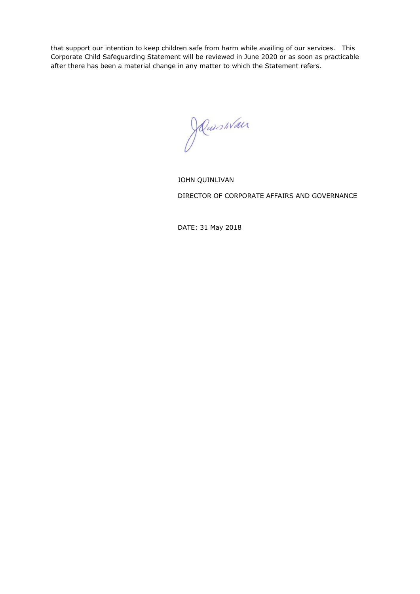that support our intention to keep children safe from harm while availing of our services. This Corporate Child Safeguarding Statement will be reviewed in June 2020 or as soon as practicable after there has been a material change in any matter to which the Statement refers.

Ruishlan

JOHN QUINLIVAN DIRECTOR OF CORPORATE AFFAIRS AND GOVERNANCE

DATE: 31 May 2018